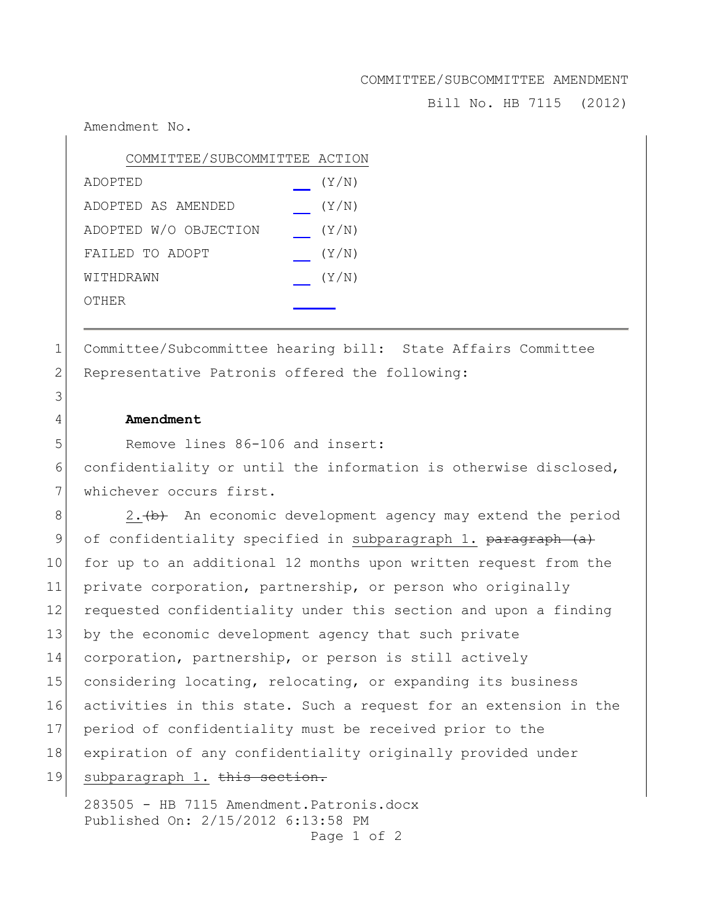## COMMITTEE/SUBCOMMITTEE AMENDMENT

Bill No. HB 7115 (2012)

Amendment No.

| COMMITTEE/SUBCOMMITTEE ACTION |       |
|-------------------------------|-------|
| ADOPTED                       | (Y/N) |
| ADOPTED AS AMENDED            | (Y/N) |
| ADOPTED W/O OBJECTION         | (Y/N) |
| FAILED TO ADOPT               | (Y/N) |
| WITHDRAWN                     | (Y/N) |
| OTHER                         |       |

1 Committee/Subcommittee hearing bill: State Affairs Committee 2 Representative Patronis offered the following:

## 4 **Amendment**

5 Remove lines 86-106 and insert:

6 confidentiality or until the information is otherwise disclosed, 7 whichever occurs first.

 $8$  2.  $\leftrightarrow$  An economic development agency may extend the period 9 of confidentiality specified in subparagraph 1. paragraph (a) 10 for up to an additional 12 months upon written request from the 11 private corporation, partnership, or person who originally 12 requested confidentiality under this section and upon a finding 13 by the economic development agency that such private 14 corporation, partnership, or person is still actively 15 considering locating, relocating, or expanding its business 16 activities in this state. Such a request for an extension in the 17 period of confidentiality must be received prior to the 18 expiration of any confidentiality originally provided under 19 subparagraph 1. this section.

283505 - HB 7115 Amendment.Patronis.docx Published On: 2/15/2012 6:13:58 PM

Page 1 of 2